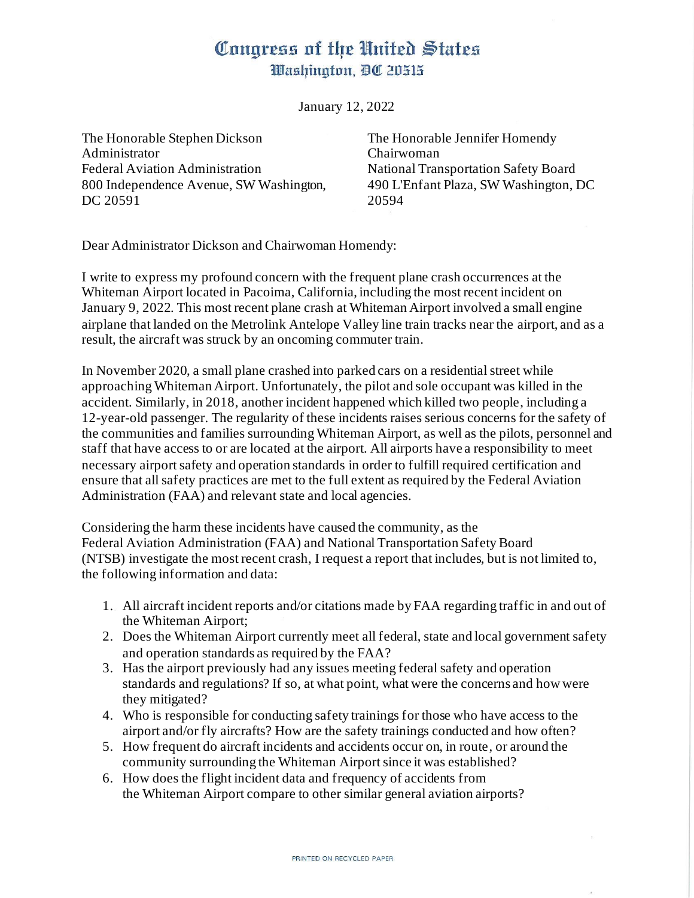## Congress of the United States Washington, DC 20515

January 12, 2022

The Honorable Stephen Dickson Administrator Federal Aviation Administration 800 Independence Avenue, SW Washington, DC 20591

The Honorable Jennifer Homendy Chairwoman National Transportation Safety Board 490 L'Enfant Plaza, SW Washington, DC 20594

Dear Administrator Dickson and Chairwoman Homendy:

I write to express my profound concern with the frequent plane crash occurrences at the Whiteman Airport located in Pacoima, California, including the most recent incident on January 9, 2022. This most recent plane crash at Whiteman Airport involved a small engine airplane that landed on the Metrolink Antelope Valley line train tracks near the airport, and as a result, the aircraft was struck by an oncoming commuter train.

In November 2020, a small plane crashed into parked cars on a residential street while approaching Whiteman Airport. Unfortunately, the pilot and sole occupant was killed in the accident. Similarly, in 2018, another incident happened which killed two people, including a 12-year-old passenger. The regularity of these incidents raises serious concerns for the safety of the communities and families surrounding Whiteman Airport, as well as the pilots, personnel and staff that have access to or are located at the airport. All airports have a responsibility to meet necessary airport safety and operation standards in order to fulfill required certification and ensure that all safety practices are met to the full extent as required by the Federal Aviation Administration (FAA) and relevant state and local agencies.

Considering the harm these incidents have caused the community, as the Federal Aviation Administration (FAA) and National Transportation Safety Board (NTSB) investigate the most recent crash, I request a report that includes, but is not limited to, the following information and data:

- 1. All aircraft incident reports and/or citations made by FAA regarding traffic in and out of the Whiteman Airport;
- 2. Does the Whiteman Airport currently meet all federal, state and local government safety and operation standards as required by the FAA?
- 3. Has the airport previously had any issues meeting federal safety and operation standards and regulations? If so, at what point, what were the concerns and how were they mitigated?
- 4. Who is responsible for conducting safety trainings for those who have access to the airport and/or fly aircrafts? How are the safety trainings conducted and how often?
- 5. How frequent do aircraft incidents and accidents occur on, in route, or around the community surrounding the Whiteman Airport since it was established?
- 6. How does the flight incident data and frequency of accidents from the Whiteman Airport compare to other similar general aviation airports?